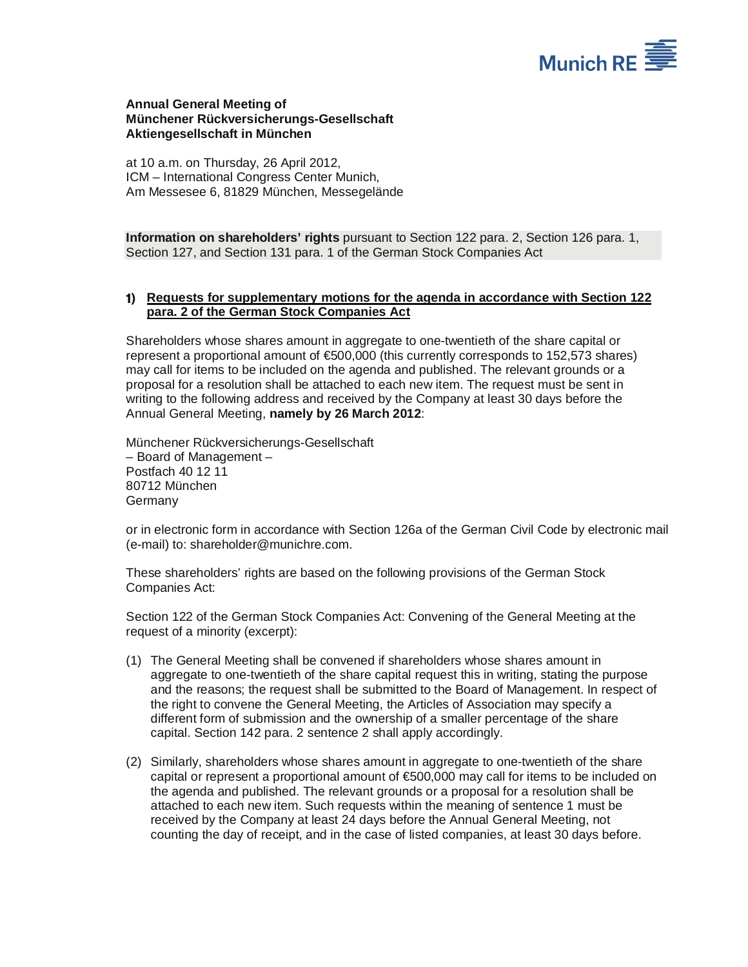

## **Annual General Meeting of Münchener Rückversicherungs-Gesellschaft Aktiengesellschaft in München**

at 10 a.m. on Thursday, 26 April 2012, ICM – International Congress Center Munich, Am Messesee 6, 81829 München, Messegelände

**Information on shareholders' rights** pursuant to Section 122 para. 2, Section 126 para. 1, Section 127, and Section 131 para. 1 of the German Stock Companies Act

## **1) Requests for supplementary motions for the agenda in accordance with Section 122 para. 2 of the German Stock Companies Act**

Shareholders whose shares amount in aggregate to one-twentieth of the share capital or represent a proportional amount of €500,000 (this currently corresponds to 152,573 shares) may call for items to be included on the agenda and published. The relevant grounds or a proposal for a resolution shall be attached to each new item. The request must be sent in writing to the following address and received by the Company at least 30 days before the Annual General Meeting, **namely by 26 March 2012**:

Münchener Rückversicherungs-Gesellschaft – Board of Management – Postfach 40 12 11 80712 München Germany

or in electronic form in accordance with Section 126a of the German Civil Code by electronic mail (e-mail) to: shareholder@munichre.com.

These shareholders' rights are based on the following provisions of the German Stock Companies Act:

Section 122 of the German Stock Companies Act: Convening of the General Meeting at the request of a minority (excerpt):

- (1) The General Meeting shall be convened if shareholders whose shares amount in aggregate to one-twentieth of the share capital request this in writing, stating the purpose and the reasons; the request shall be submitted to the Board of Management. In respect of the right to convene the General Meeting, the Articles of Association may specify a different form of submission and the ownership of a smaller percentage of the share capital. Section 142 para. 2 sentence 2 shall apply accordingly.
- (2) Similarly, shareholders whose shares amount in aggregate to one-twentieth of the share capital or represent a proportional amount of €500,000 may call for items to be included on the agenda and published. The relevant grounds or a proposal for a resolution shall be attached to each new item. Such requests within the meaning of sentence 1 must be received by the Company at least 24 days before the Annual General Meeting, not counting the day of receipt, and in the case of listed companies, at least 30 days before.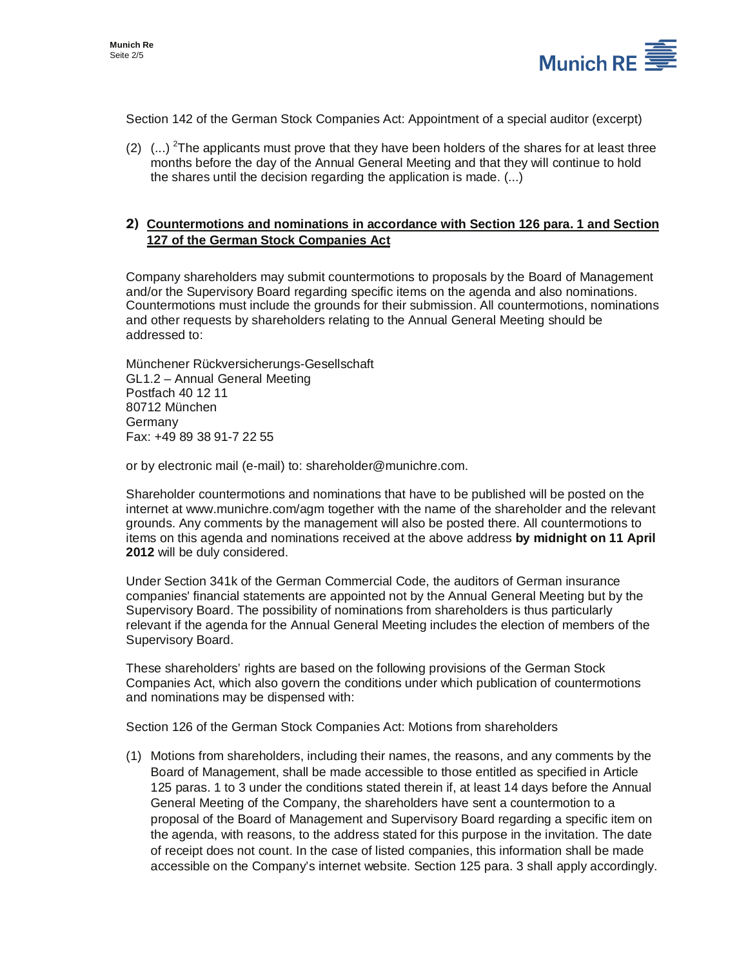

Section 142 of the German Stock Companies Act: Appointment of a special auditor (excerpt)

(2)  $\ldots$ ) <sup>2</sup>The applicants must prove that they have been holders of the shares for at least three months before the day of the Annual General Meeting and that they will continue to hold the shares until the decision regarding the application is made. (...)

## **2) Countermotions and nominations in accordance with Section 126 para. 1 and Section 127 of the German Stock Companies Act**

Company shareholders may submit countermotions to proposals by the Board of Management and/or the Supervisory Board regarding specific items on the agenda and also nominations. Countermotions must include the grounds for their submission. All countermotions, nominations and other requests by shareholders relating to the Annual General Meeting should be addressed to:

Münchener Rückversicherungs-Gesellschaft GL1.2 – Annual General Meeting Postfach 40 12 11 80712 München Germany Fax: +49 89 38 91-7 22 55

or by electronic mail (e-mail) to: shareholder@munichre.com.

Shareholder countermotions and nominations that have to be published will be posted on the internet at www.munichre.com/agm together with the name of the shareholder and the relevant grounds. Any comments by the management will also be posted there. All countermotions to items on this agenda and nominations received at the above address **by midnight on 11 April 2012** will be duly considered.

Under Section 341k of the German Commercial Code, the auditors of German insurance companies' financial statements are appointed not by the Annual General Meeting but by the Supervisory Board. The possibility of nominations from shareholders is thus particularly relevant if the agenda for the Annual General Meeting includes the election of members of the Supervisory Board.

These shareholders' rights are based on the following provisions of the German Stock Companies Act, which also govern the conditions under which publication of countermotions and nominations may be dispensed with:

Section 126 of the German Stock Companies Act: Motions from shareholders

(1) Motions from shareholders, including their names, the reasons, and any comments by the Board of Management, shall be made accessible to those entitled as specified in Article 125 paras. 1 to 3 under the conditions stated therein if, at least 14 days before the Annual General Meeting of the Company, the shareholders have sent a countermotion to a proposal of the Board of Management and Supervisory Board regarding a specific item on the agenda, with reasons, to the address stated for this purpose in the invitation. The date of receipt does not count. In the case of listed companies, this information shall be made accessible on the Company's internet website. Section 125 para. 3 shall apply accordingly.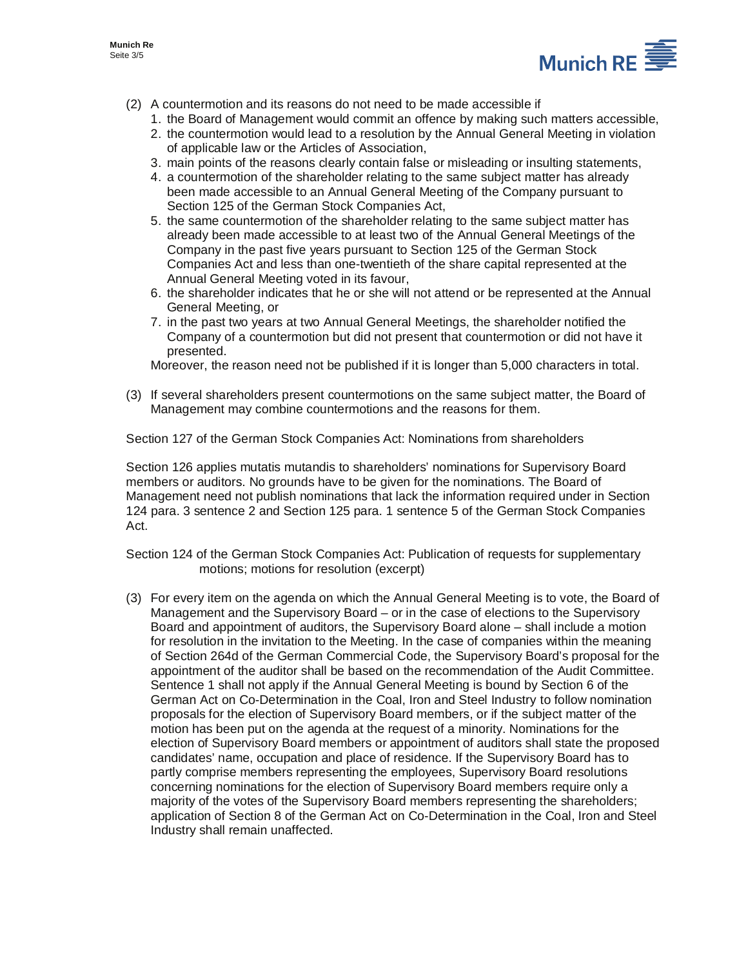

- (2) A countermotion and its reasons do not need to be made accessible if
	- 1. the Board of Management would commit an offence by making such matters accessible,
	- 2. the countermotion would lead to a resolution by the Annual General Meeting in violation of applicable law or the Articles of Association,
	- 3. main points of the reasons clearly contain false or misleading or insulting statements,
	- 4. a countermotion of the shareholder relating to the same subject matter has already been made accessible to an Annual General Meeting of the Company pursuant to Section 125 of the German Stock Companies Act,
	- 5. the same countermotion of the shareholder relating to the same subject matter has already been made accessible to at least two of the Annual General Meetings of the Company in the past five years pursuant to Section 125 of the German Stock Companies Act and less than one-twentieth of the share capital represented at the Annual General Meeting voted in its favour,
	- 6. the shareholder indicates that he or she will not attend or be represented at the Annual General Meeting, or
	- 7. in the past two years at two Annual General Meetings, the shareholder notified the Company of a countermotion but did not present that countermotion or did not have it presented.

Moreover, the reason need not be published if it is longer than 5,000 characters in total.

(3) If several shareholders present countermotions on the same subject matter, the Board of Management may combine countermotions and the reasons for them.

Section 127 of the German Stock Companies Act: Nominations from shareholders

Section 126 applies mutatis mutandis to shareholders' nominations for Supervisory Board members or auditors. No grounds have to be given for the nominations. The Board of Management need not publish nominations that lack the information required under in Section 124 para. 3 sentence 2 and Section 125 para. 1 sentence 5 of the German Stock Companies Act.

Section 124 of the German Stock Companies Act: Publication of requests for supplementary motions; motions for resolution (excerpt)

(3) For every item on the agenda on which the Annual General Meeting is to vote, the Board of Management and the Supervisory Board – or in the case of elections to the Supervisory Board and appointment of auditors, the Supervisory Board alone – shall include a motion for resolution in the invitation to the Meeting. In the case of companies within the meaning of Section 264d of the German Commercial Code, the Supervisory Board's proposal for the appointment of the auditor shall be based on the recommendation of the Audit Committee. Sentence 1 shall not apply if the Annual General Meeting is bound by Section 6 of the German Act on Co-Determination in the Coal, Iron and Steel Industry to follow nomination proposals for the election of Supervisory Board members, or if the subject matter of the motion has been put on the agenda at the request of a minority. Nominations for the election of Supervisory Board members or appointment of auditors shall state the proposed candidates' name, occupation and place of residence. If the Supervisory Board has to partly comprise members representing the employees, Supervisory Board resolutions concerning nominations for the election of Supervisory Board members require only a majority of the votes of the Supervisory Board members representing the shareholders; application of Section 8 of the German Act on Co-Determination in the Coal, Iron and Steel Industry shall remain unaffected.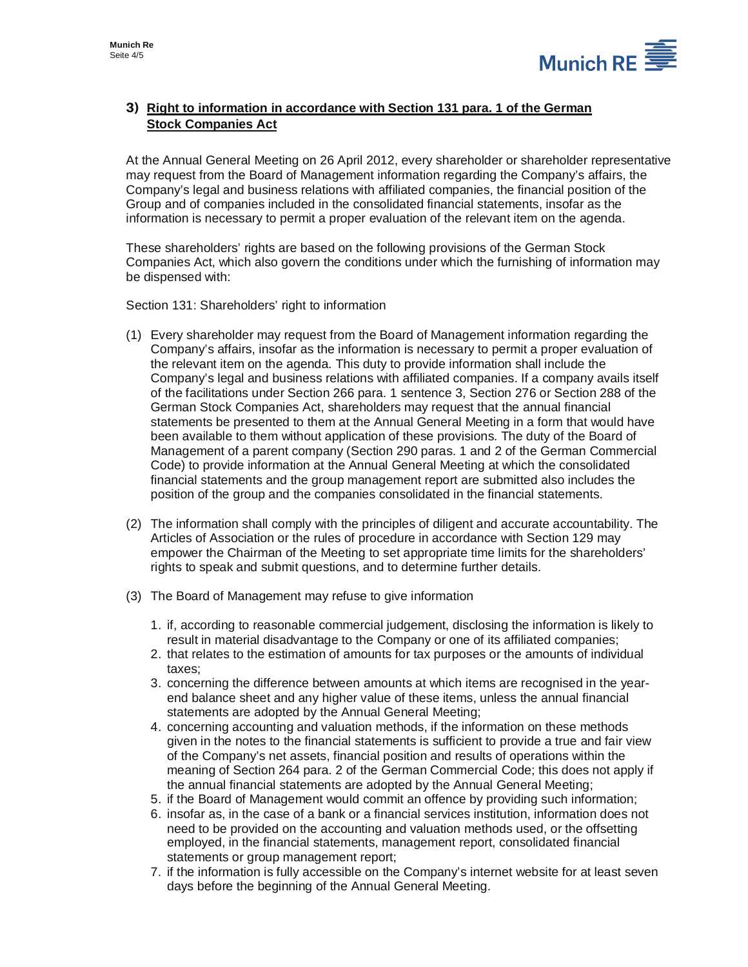

## **3) Right to information in accordance with Section 131 para. 1 of the German Stock Companies Act**

At the Annual General Meeting on 26 April 2012, every shareholder or shareholder representative may request from the Board of Management information regarding the Company's affairs, the Company's legal and business relations with affiliated companies, the financial position of the Group and of companies included in the consolidated financial statements, insofar as the information is necessary to permit a proper evaluation of the relevant item on the agenda.

These shareholders' rights are based on the following provisions of the German Stock Companies Act, which also govern the conditions under which the furnishing of information may be dispensed with:

Section 131: Shareholders' right to information

- (1) Every shareholder may request from the Board of Management information regarding the Company's affairs, insofar as the information is necessary to permit a proper evaluation of the relevant item on the agenda. This duty to provide information shall include the Company's legal and business relations with affiliated companies. If a company avails itself of the facilitations under Section 266 para. 1 sentence 3, Section 276 or Section 288 of the German Stock Companies Act, shareholders may request that the annual financial statements be presented to them at the Annual General Meeting in a form that would have been available to them without application of these provisions. The duty of the Board of Management of a parent company (Section 290 paras. 1 and 2 of the German Commercial Code) to provide information at the Annual General Meeting at which the consolidated financial statements and the group management report are submitted also includes the position of the group and the companies consolidated in the financial statements.
- (2) The information shall comply with the principles of diligent and accurate accountability. The Articles of Association or the rules of procedure in accordance with Section 129 may empower the Chairman of the Meeting to set appropriate time limits for the shareholders' rights to speak and submit questions, and to determine further details.
- (3) The Board of Management may refuse to give information
	- 1. if, according to reasonable commercial judgement, disclosing the information is likely to result in material disadvantage to the Company or one of its affiliated companies;
	- 2. that relates to the estimation of amounts for tax purposes or the amounts of individual taxes;
	- 3. concerning the difference between amounts at which items are recognised in the yearend balance sheet and any higher value of these items, unless the annual financial statements are adopted by the Annual General Meeting;
	- 4. concerning accounting and valuation methods, if the information on these methods given in the notes to the financial statements is sufficient to provide a true and fair view of the Company's net assets, financial position and results of operations within the meaning of Section 264 para. 2 of the German Commercial Code; this does not apply if the annual financial statements are adopted by the Annual General Meeting;
	- 5. if the Board of Management would commit an offence by providing such information;
	- 6. insofar as, in the case of a bank or a financial services institution, information does not need to be provided on the accounting and valuation methods used, or the offsetting employed, in the financial statements, management report, consolidated financial statements or group management report;
	- 7. if the information is fully accessible on the Company's internet website for at least seven days before the beginning of the Annual General Meeting.